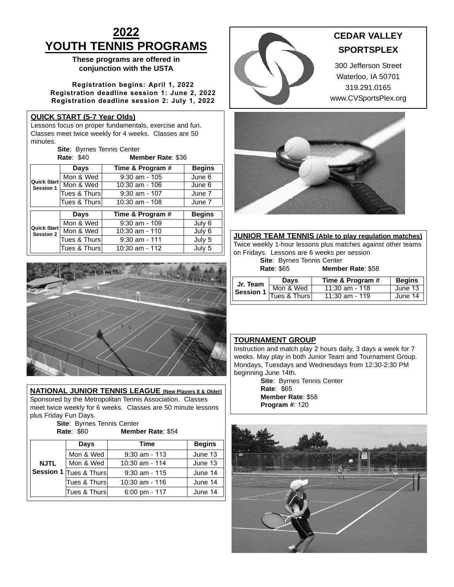# **2022 YOUTH TENNIS PROGRAMS**

# **These programs are offered in conjunction with the USTA**

**Registration begins: April 1, 2022 Registration deadline session 1: June 2, 2022 Registration deadline session 2: July 1, 2022**

## **QUICK START (5-7 Year Olds)**

Lessons focus on proper fundamentals, exercise and fun. Classes meet twice weekly for 4 weeks. Classes are 50 minutes.

| <b>Site: Byrnes Tennis Center</b> |                   |
|-----------------------------------|-------------------|
| <b>Rate: \$40</b>                 | Member Rate: \$36 |

|                                        | Days          | Time & Program # | <b>Begins</b> |
|----------------------------------------|---------------|------------------|---------------|
|                                        | Mon & Wed     | $9:30$ am - 105  | June 6        |
| Quick Start<br>Session 1               | Mon & Wed     | $10:30$ am - 106 | June 6        |
|                                        | Tues & Thurs  | $9:30$ am - 107  | June 7        |
|                                        | Tues & Thurs  | 10:30 am - 108   | June 7        |
|                                        | Days          | Time & Program # | <b>Begins</b> |
|                                        | Mon & Wed     | $9:30$ am - 109  | July 6        |
| <b>Quick Start</b><br><b>Session 2</b> | Mon & Wed     | 10:30 am - 110   | July 6        |
|                                        | Tues & Thursl | $9:30$ am - 111  | July 5        |
|                                        | Tues & Thurs  | $10:30$ am - 112 | July 5        |



**NATIONAL JUNIOR TENNIS LEAGUE (New Players 8 & Older)** Sponsored by the Metropolitan Tennis Association. Classes meet twice weekly for 6 weeks. Classes are 50 minute lessons plus Friday Fun Days.

**Site**: Byrnes Tennis Center

#### **Rate**: \$60 **Member Rate**: \$54

| Days        |                        | Time                    | <b>Begins</b> |
|-------------|------------------------|-------------------------|---------------|
|             | Mon & Wed              | $9:30$ am - 113         | June 13       |
| <b>NJTL</b> | Mon & Wed              | 10:30 am - 114          | June 13       |
|             | Session 1 Tues & Thurs | $9:30$ am - 115         | June 14       |
|             | Tues & Thursl          | $10:30$ am - 116        | June 14       |
|             | Tues & Thursl          | $6:00 \text{ pm} - 117$ | June 14       |



# **CEDAR VALLEY SPORTSPLEX**

300 Jefferson Street Waterloo, IA 50701 319.291.0165 www.CVSportsPlex.org



**JUNIOR TEAM TENNIS (Able to play regulation matches)** Twice weekly 1-hour lessons plus matches against other teams on Fridays. Lessons are 6 weeks per session

|                   | <b>Site: Byrnes Tennis Center</b> |                   |  |
|-------------------|-----------------------------------|-------------------|--|
| <b>Rate: \$65</b> |                                   | Member Rate: \$58 |  |

| <b>Begins</b><br>Time & Program #<br><b>Davs</b>                         |  |
|--------------------------------------------------------------------------|--|
|                                                                          |  |
| Jr. Team<br>Mon & Wed<br>June 13<br>$11:30$ am - 118<br><b>Session 1</b> |  |
| Tues & Thurs<br>June 14<br>$11:30$ am - 119                              |  |

## **TOURNAMENT GROUP**

Instruction and match play 2 hours daily, 3 days a week for 7 weeks. May play in both Junior Team and Tournament Group. Mondays, Tuesdays and Wednesdays from 12:30-2:30 PM beginning June 14th.

**Site**: Byrnes Tennis Center **Rate**: \$65 **Member Rate**: \$58 **Program #**: 120